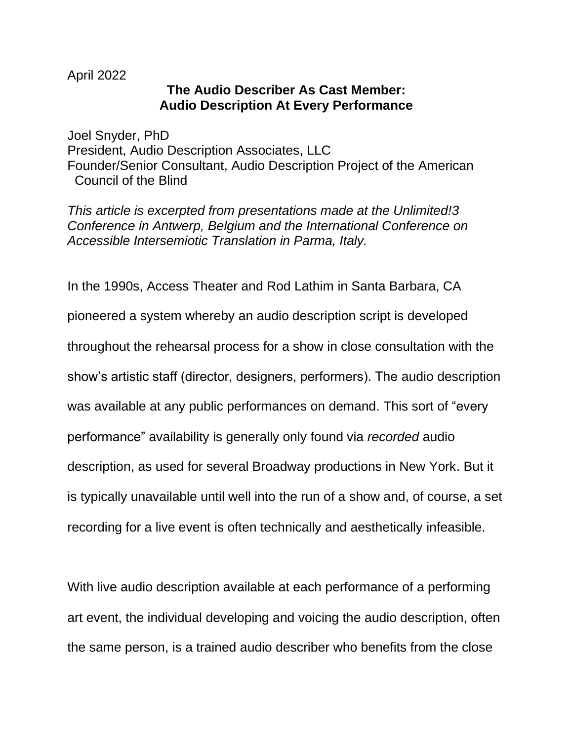## April 2022

## **The Audio Describer As Cast Member: Audio Description At Every Performance**

Joel Snyder, PhD President, Audio Description Associates, LLC Founder/Senior Consultant, Audio Description Project of the American Council of the Blind

*This article is excerpted from presentations made at the Unlimited!3 Conference in Antwerp, Belgium and the International Conference on Accessible Intersemiotic Translation in Parma, Italy.*

In the 1990s, Access Theater and Rod Lathim in Santa Barbara, CA pioneered a system whereby an audio description script is developed throughout the rehearsal process for a show in close consultation with the show's artistic staff (director, designers, performers). The audio description was available at any public performances on demand. This sort of "every performance" availability is generally only found via *recorded* audio description, as used for several Broadway productions in New York. But it is typically unavailable until well into the run of a show and, of course, a set recording for a live event is often technically and aesthetically infeasible.

With live audio description available at each performance of a performing art event, the individual developing and voicing the audio description, often the same person, is a trained audio describer who benefits from the close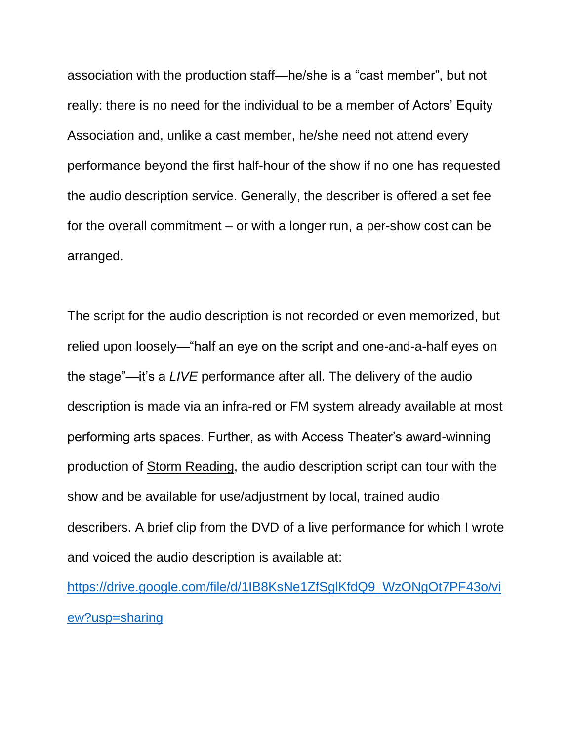association with the production staff—he/she is a "cast member", but not really: there is no need for the individual to be a member of Actors' Equity Association and, unlike a cast member, he/she need not attend every performance beyond the first half-hour of the show if no one has requested the audio description service. Generally, the describer is offered a set fee for the overall commitment – or with a longer run, a per-show cost can be arranged.

The script for the audio description is not recorded or even memorized, but relied upon loosely—"half an eye on the script and one-and-a-half eyes on the stage"—it's a *LIVE* performance after all. The delivery of the audio description is made via an infra-red or FM system already available at most performing arts spaces. Further, as with Access Theater's award-winning production of Storm Reading, the audio description script can tour with the show and be available for use/adjustment by local, trained audio describers. A brief clip from the DVD of a live performance for which I wrote and voiced the audio description is available at:

[https://drive.google.com/file/d/1IB8KsNe1ZfSglKfdQ9\\_WzONgOt7PF43o/vi](https://drive.google.com/file/d/1IB8KsNe1ZfSglKfdQ9_WzONgOt7PF43o/view?usp=sharing) [ew?usp=sharing](https://drive.google.com/file/d/1IB8KsNe1ZfSglKfdQ9_WzONgOt7PF43o/view?usp=sharing)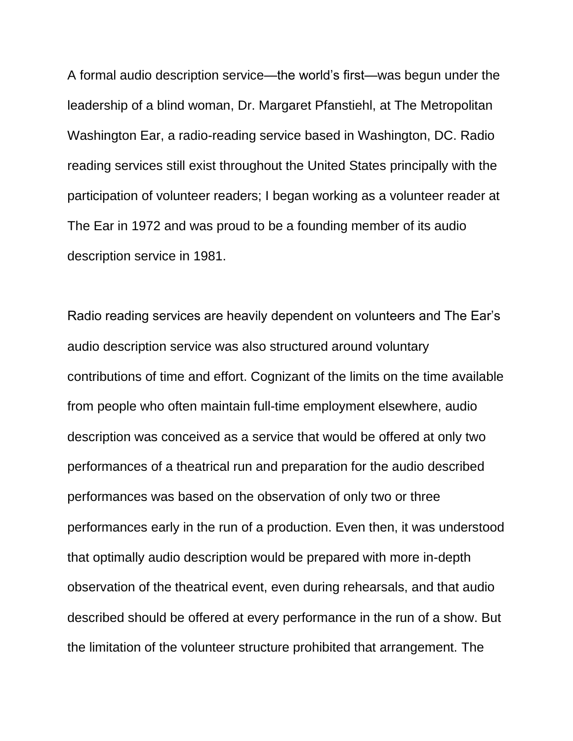A formal audio description service—the world's first—was begun under the leadership of a blind woman, Dr. Margaret Pfanstiehl, at The Metropolitan Washington Ear, a radio-reading service based in Washington, DC. Radio reading services still exist throughout the United States principally with the participation of volunteer readers; I began working as a volunteer reader at The Ear in 1972 and was proud to be a founding member of its audio description service in 1981.

Radio reading services are heavily dependent on volunteers and The Ear's audio description service was also structured around voluntary contributions of time and effort. Cognizant of the limits on the time available from people who often maintain full-time employment elsewhere, audio description was conceived as a service that would be offered at only two performances of a theatrical run and preparation for the audio described performances was based on the observation of only two or three performances early in the run of a production. Even then, it was understood that optimally audio description would be prepared with more in-depth observation of the theatrical event, even during rehearsals, and that audio described should be offered at every performance in the run of a show. But the limitation of the volunteer structure prohibited that arrangement. The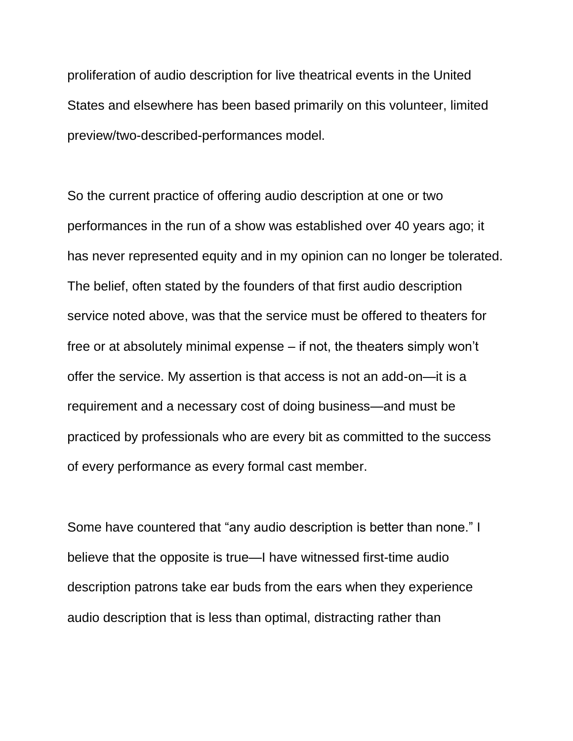proliferation of audio description for live theatrical events in the United States and elsewhere has been based primarily on this volunteer, limited preview/two-described-performances model.

So the current practice of offering audio description at one or two performances in the run of a show was established over 40 years ago; it has never represented equity and in my opinion can no longer be tolerated. The belief, often stated by the founders of that first audio description service noted above, was that the service must be offered to theaters for free or at absolutely minimal expense – if not, the theaters simply won't offer the service. My assertion is that access is not an add-on—it is a requirement and a necessary cost of doing business—and must be practiced by professionals who are every bit as committed to the success of every performance as every formal cast member.

Some have countered that "any audio description is better than none." I believe that the opposite is true—I have witnessed first-time audio description patrons take ear buds from the ears when they experience audio description that is less than optimal, distracting rather than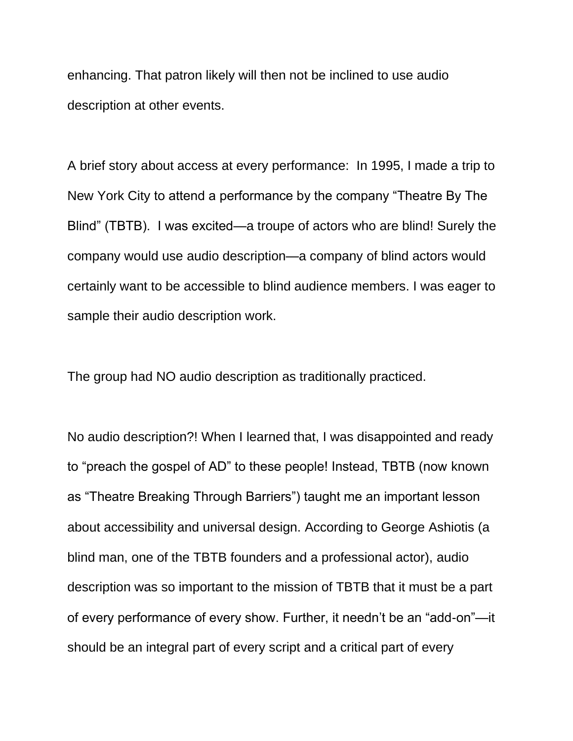enhancing. That patron likely will then not be inclined to use audio description at other events.

A brief story about access at every performance: In 1995, I made a trip to New York City to attend a performance by the company "Theatre By The Blind" (TBTB). I was excited—a troupe of actors who are blind! Surely the company would use audio description—a company of blind actors would certainly want to be accessible to blind audience members. I was eager to sample their audio description work.

The group had NO audio description as traditionally practiced.

No audio description?! When I learned that, I was disappointed and ready to "preach the gospel of AD" to these people! Instead, TBTB (now known as "Theatre Breaking Through Barriers") taught me an important lesson about accessibility and universal design. According to George Ashiotis (a blind man, one of the TBTB founders and a professional actor), audio description was so important to the mission of TBTB that it must be a part of every performance of every show. Further, it needn't be an "add-on"—it should be an integral part of every script and a critical part of every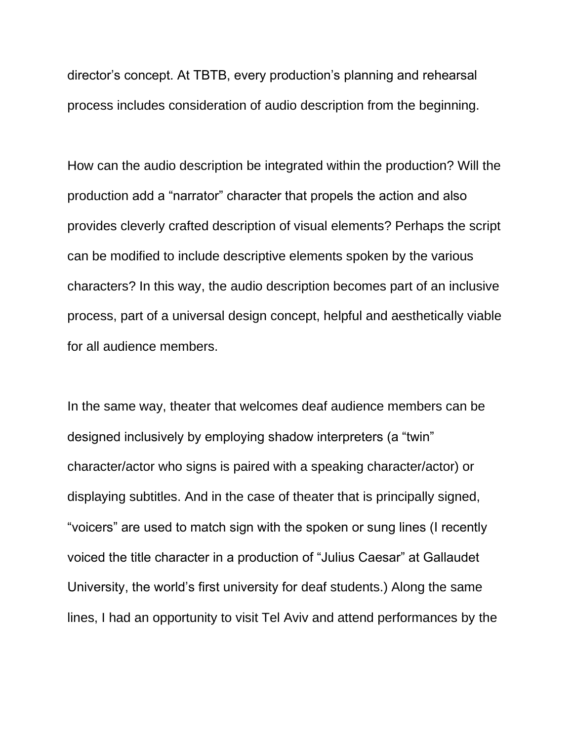director's concept. At TBTB, every production's planning and rehearsal process includes consideration of audio description from the beginning.

How can the audio description be integrated within the production? Will the production add a "narrator" character that propels the action and also provides cleverly crafted description of visual elements? Perhaps the script can be modified to include descriptive elements spoken by the various characters? In this way, the audio description becomes part of an inclusive process, part of a universal design concept, helpful and aesthetically viable for all audience members.

In the same way, theater that welcomes deaf audience members can be designed inclusively by employing shadow interpreters (a "twin" character/actor who signs is paired with a speaking character/actor) or displaying subtitles. And in the case of theater that is principally signed, "voicers" are used to match sign with the spoken or sung lines (I recently voiced the title character in a production of "Julius Caesar" at Gallaudet University, the world's first university for deaf students.) Along the same lines, I had an opportunity to visit Tel Aviv and attend performances by the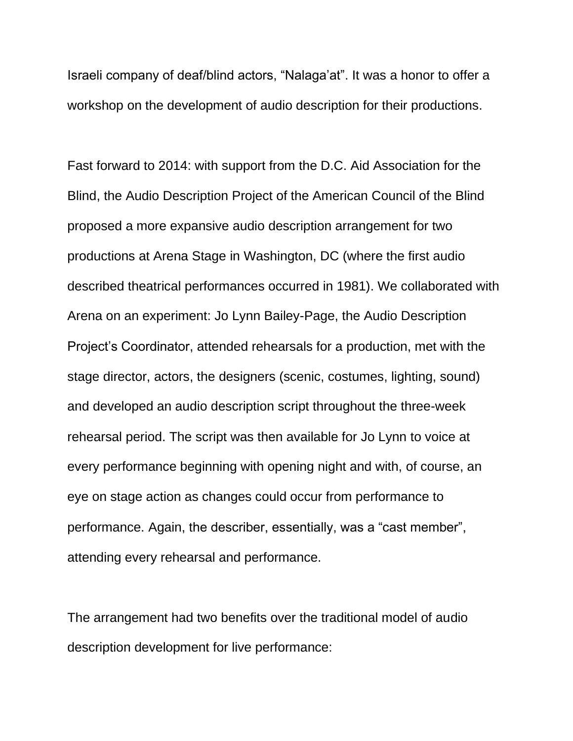Israeli company of deaf/blind actors, "Nalaga'at". It was a honor to offer a workshop on the development of audio description for their productions.

Fast forward to 2014: with support from the D.C. Aid Association for the Blind, the Audio Description Project of the American Council of the Blind proposed a more expansive audio description arrangement for two productions at Arena Stage in Washington, DC (where the first audio described theatrical performances occurred in 1981). We collaborated with Arena on an experiment: Jo Lynn Bailey-Page, the Audio Description Project's Coordinator, attended rehearsals for a production, met with the stage director, actors, the designers (scenic, costumes, lighting, sound) and developed an audio description script throughout the three-week rehearsal period. The script was then available for Jo Lynn to voice at every performance beginning with opening night and with, of course, an eye on stage action as changes could occur from performance to performance. Again, the describer, essentially, was a "cast member", attending every rehearsal and performance.

The arrangement had two benefits over the traditional model of audio description development for live performance: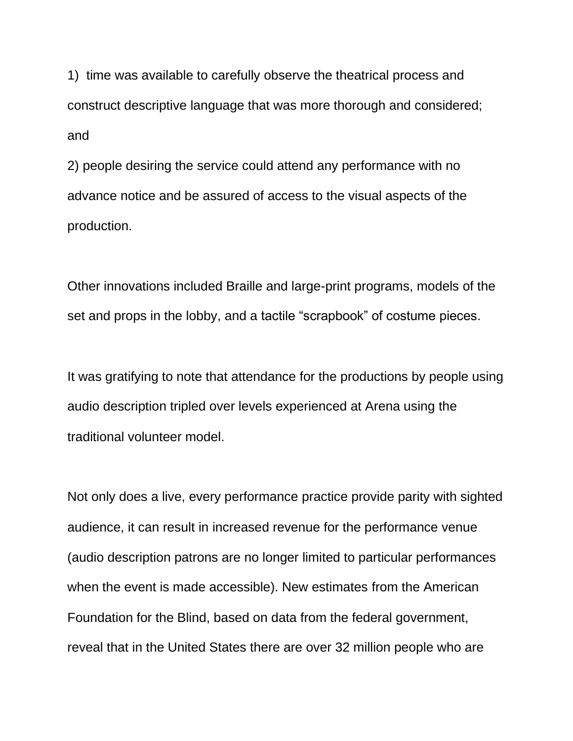1) time was available to carefully observe the theatrical process and construct descriptive language that was more thorough and considered; and

2) people desiring the service could attend any performance with no advance notice and be assured of access to the visual aspects of the production.

Other innovations included Braille and large-print programs, models of the set and props in the lobby, and a tactile "scrapbook" of costume pieces.

It was gratifying to note that attendance for the productions by people using audio description tripled over levels experienced at Arena using the traditional volunteer model.

Not only does a live, every performance practice provide parity with sighted audience, it can result in increased revenue for the performance venue (audio description patrons are no longer limited to particular performances when the event is made accessible). New estimates from the American Foundation for the Blind, based on data from the federal government, reveal that in the United States there are over 32 million people who are